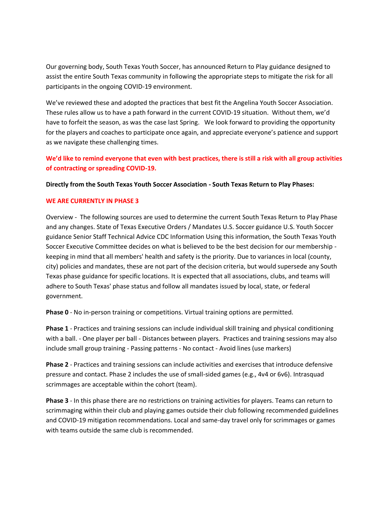Our governing body, South Texas Youth Soccer, has announced Return to Play guidance designed to assist the entire South Texas community in following the appropriate steps to mitigate the risk for all participants in the ongoing COVID-19 environment.

We've reviewed these and adopted the practices that best fit the Angelina Youth Soccer Association. These rules allow us to have a path forward in the current COVID-19 situation. Without them, we'd have to forfeit the season, as was the case last Spring. We look forward to providing the opportunity for the players and coaches to participate once again, and appreciate everyone's patience and support as we navigate these challenging times.

**We'd like to remind everyone that even with best practices, there is still a risk with all group activities of contracting or spreading COVID-19.**

**Directly from the South Texas Youth Soccer Association - South Texas Return to Play Phases:**

## **WE ARE CURRENTLY IN PHASE 3**

Overview - The following sources are used to determine the current South Texas Return to Play Phase and any changes. State of Texas Executive Orders / Mandates U.S. Soccer guidance U.S. Youth Soccer guidance Senior Staff Technical Advice CDC Information Using this information, the South Texas Youth Soccer Executive Committee decides on what is believed to be the best decision for our membership keeping in mind that all members' health and safety is the priority. Due to variances in local (county, city) policies and mandates, these are not part of the decision criteria, but would supersede any South Texas phase guidance for specific locations. It is expected that all associations, clubs, and teams will adhere to South Texas' phase status and follow all mandates issued by local, state, or federal government.

**Phase 0** - No in-person training or competitions. Virtual training options are permitted.

**Phase 1** - Practices and training sessions can include individual skill training and physical conditioning with a ball. - One player per ball - Distances between players. Practices and training sessions may also include small group training - Passing patterns - No contact - Avoid lines (use markers)

**Phase 2** - Practices and training sessions can include activities and exercises that introduce defensive pressure and contact. Phase 2 includes the use of small-sided games (e.g., 4v4 or 6v6). Intrasquad scrimmages are acceptable within the cohort (team).

**Phase 3** - In this phase there are no restrictions on training activities for players. Teams can return to scrimmaging within their club and playing games outside their club following recommended guidelines and COVID-19 mitigation recommendations. Local and same-day travel only for scrimmages or games with teams outside the same club is recommended.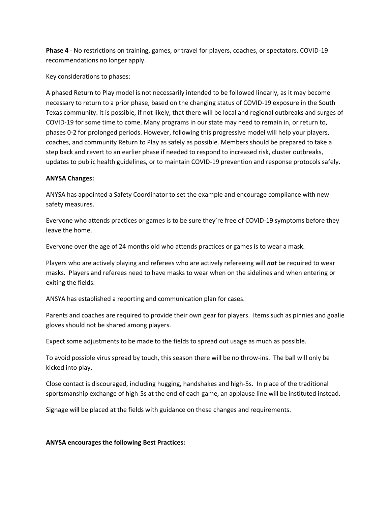**Phase 4** - No restrictions on training, games, or travel for players, coaches, or spectators. COVID-19 recommendations no longer apply.

Key considerations to phases:

A phased Return to Play model is not necessarily intended to be followed linearly, as it may become necessary to return to a prior phase, based on the changing status of COVID-19 exposure in the South Texas community. It is possible, if not likely, that there will be local and regional outbreaks and surges of COVID-19 for some time to come. Many programs in our state may need to remain in, or return to, phases 0-2 for prolonged periods. However, following this progressive model will help your players, coaches, and community Return to Play as safely as possible. Members should be prepared to take a step back and revert to an earlier phase if needed to respond to increased risk, cluster outbreaks, updates to public health guidelines, or to maintain COVID-19 prevention and response protocols safely.

## **ANYSA Changes:**

ANYSA has appointed a Safety Coordinator to set the example and encourage compliance with new safety measures.

Everyone who attends practices or games is to be sure they're free of COVID-19 symptoms before they leave the home.

Everyone over the age of 24 months old who attends practices or games is to wear a mask.

Players who are actively playing and referees who are actively refereeing will *not* be required to wear masks. Players and referees need to have masks to wear when on the sidelines and when entering or exiting the fields.

ANSYA has established a reporting and communication plan for cases.

Parents and coaches are required to provide their own gear for players. Items such as pinnies and goalie gloves should not be shared among players.

Expect some adjustments to be made to the fields to spread out usage as much as possible.

To avoid possible virus spread by touch, this season there will be no throw-ins. The ball will only be kicked into play.

Close contact is discouraged, including hugging, handshakes and high-5s. In place of the traditional sportsmanship exchange of high-5s at the end of each game, an applause line will be instituted instead.

Signage will be placed at the fields with guidance on these changes and requirements.

## **ANYSA encourages the following Best Practices:**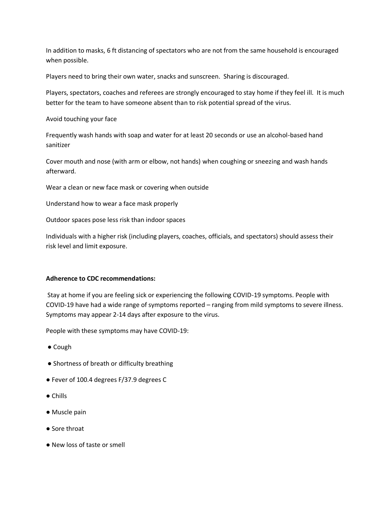In addition to masks, 6 ft distancing of spectators who are not from the same household is encouraged when possible.

Players need to bring their own water, snacks and sunscreen. Sharing is discouraged.

Players, spectators, coaches and referees are strongly encouraged to stay home if they feel ill. It is much better for the team to have someone absent than to risk potential spread of the virus.

Avoid touching your face

Frequently wash hands with soap and water for at least 20 seconds or use an alcohol-based hand sanitizer

Cover mouth and nose (with arm or elbow, not hands) when coughing or sneezing and wash hands afterward.

Wear a clean or new face mask or covering when outside

Understand how to wear a face mask properly

Outdoor spaces pose less risk than indoor spaces

Individuals with a higher risk (including players, coaches, officials, and spectators) should assess their risk level and limit exposure.

## **Adherence to CDC recommendations:**

Stay at home if you are feeling sick or experiencing the following COVID-19 symptoms. People with COVID-19 have had a wide range of symptoms reported – ranging from mild symptoms to severe illness. Symptoms may appear 2-14 days after exposure to the virus.

People with these symptoms may have COVID-19:

- Cough
- Shortness of breath or difficulty breathing
- Fever of 100.4 degrees F/37.9 degrees C
- Chills
- Muscle pain
- Sore throat
- New loss of taste or smell